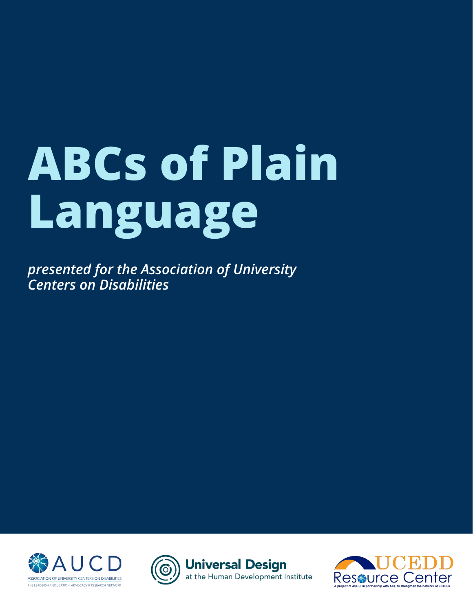# **ABCs of Plain Language**

*presented for the Association of University Centers on Disabilities*





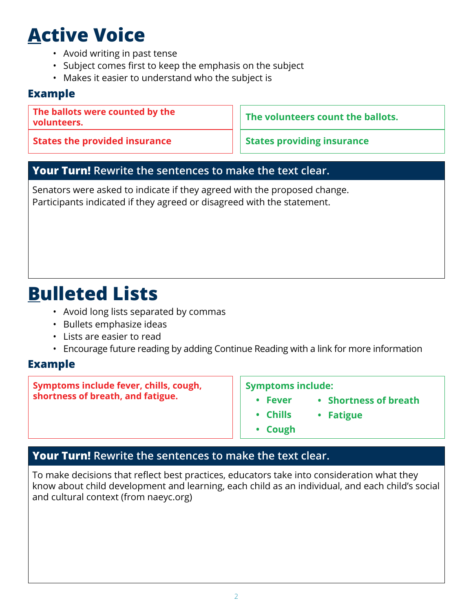# **Active Voice**

- Avoid writing in past tense
- Subject comes first to keep the emphasis on the subject
- Makes it easier to understand who the subject is

#### **Example**

**The ballots were counted by the volunteers.** 

**States the provided insurance**

**The volunteers count the ballots.**

**States providing insurance**

#### **Your Turn! Rewrite the sentences to make the text clear.**

Senators were asked to indicate if they agreed with the proposed change. Participants indicated if they agreed or disagreed with the statement.

### **Bulleted Lists**

- Avoid long lists separated by commas
- Bullets emphasize ideas
- Lists are easier to read
- Encourage future reading by adding Continue Reading with a link for more information

#### **Example**

**Symptoms include fever, chills, cough, shortness of breath, and fatigue.** 

**Symptoms include:**

- **• Fever**
	- **• Chills • Fatigue**

**• Shortness of breath**

**• Cough**

#### **Your Turn! Rewrite the sentences to make the text clear.**

To make decisions that reflect best practices, educators take into consideration what they know about child development and learning, each child as an individual, and each child's social and cultural context (from naeyc.org)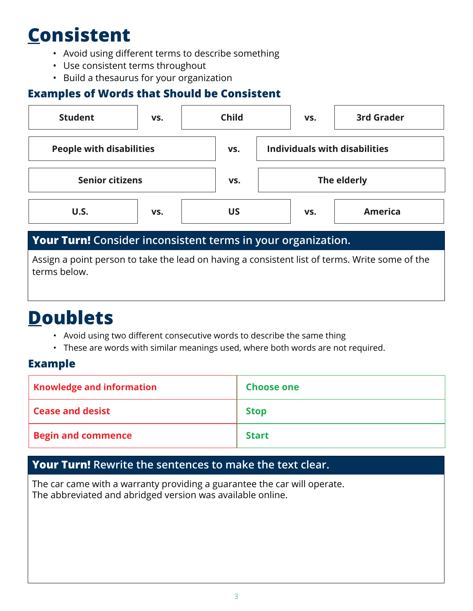# **Consistent**

- Avoid using different terms to describe something
- Use consistent terms throughout
- Build a thesaurus for your organization

### **Examples of Words that Should be Consistent**

| <b>Student</b>                                               | VS. | <b>Child</b> | VS.                                  | <b>3rd Grader</b> |
|--------------------------------------------------------------|-----|--------------|--------------------------------------|-------------------|
| <b>People with disabilities</b>                              |     | VS.          | <b>Individuals with disabilities</b> |                   |
| <b>Senior citizens</b>                                       |     | VS.          |                                      | The elderly       |
| U.S.                                                         | VS. | US           | VS.                                  | <b>America</b>    |
| Your Turn! Consider inconsistent terms in your organization. |     |              |                                      |                   |

Assign a point person to take the lead on having a consistent list of terms. Write some of the terms below.

### **Doublets**

- Avoid using two different consecutive words to describe the same thing
- These are words with similar meanings used, where both words are not required.

#### **Example**

| <b>Knowledge and information</b> | <b>Choose one</b> |
|----------------------------------|-------------------|
| <b>Cease and desist</b>          | <b>Stop</b>       |
| <b>Begin and commence</b>        | <b>Start</b>      |

### **Your Turn! Rewrite the sentences to make the text clear.**

The car came with a warranty providing a guarantee the car will operate. The abbreviated and abridged version was available online.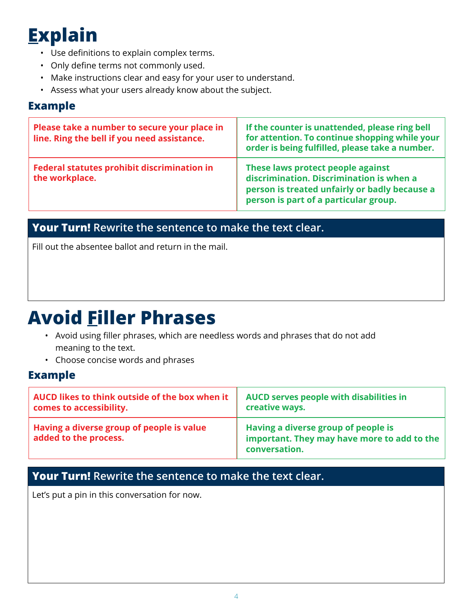# **Explain**

- Use definitions to explain complex terms.
- Only define terms not commonly used.
- Make instructions clear and easy for your user to understand.
- Assess what your users already know about the subject.

#### **Example**

| Please take a number to secure your place in<br>line. Ring the bell if you need assistance. | If the counter is unattended, please ring bell<br>for attention. To continue shopping while your<br>order is being fulfilled, please take a number.                     |
|---------------------------------------------------------------------------------------------|-------------------------------------------------------------------------------------------------------------------------------------------------------------------------|
| <b>Federal statutes prohibit discrimination in</b><br>the workplace.                        | These laws protect people against<br>discrimination. Discrimination is when a<br>person is treated unfairly or badly because a<br>person is part of a particular group. |

### **Your Turn! Rewrite the sentence to make the text clear.**

Fill out the absentee ballot and return in the mail.

### **Avoid Filler Phrases**

- Avoid using filler phrases, which are needless words and phrases that do not add meaning to the text.
- Choose concise words and phrases

#### **Example**

| AUCD likes to think outside of the box when it                     | AUCD serves people with disabilities in                                                             |
|--------------------------------------------------------------------|-----------------------------------------------------------------------------------------------------|
| comes to accessibility.                                            | creative ways.                                                                                      |
| Having a diverse group of people is value<br>added to the process. | Having a diverse group of people is<br>important. They may have more to add to the<br>conversation. |

### **Your Turn! Rewrite the sentence to make the text clear.**

Let's put a pin in this conversation for now.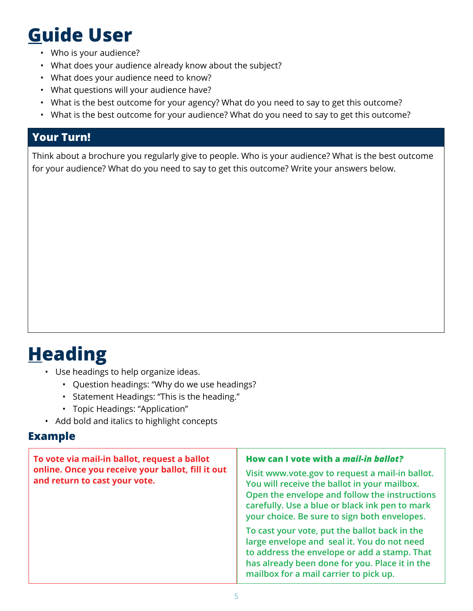### **Guide User**

- Who is your audience?
- What does your audience already know about the subject?
- What does your audience need to know?
- What questions will your audience have?
- What is the best outcome for your agency? What do you need to say to get this outcome?
- What is the best outcome for your audience? What do you need to say to get this outcome?

### **Your Turn!**

Think about a brochure you regularly give to people. Who is your audience? What is the best outcome for your audience? What do you need to say to get this outcome? Write your answers below.

### **Heading**

- Use headings to help organize ideas.
	- Question headings: "Why do we use headings?
	- Statement Headings: "This is the heading."
	- Topic Headings: "Application"
- Add bold and italics to highlight concepts

#### **Example**

| To vote via mail-in ballot, request a ballot<br>online. Once you receive your ballot, fill it out<br>and return to cast your vote. | How can I vote with a <i>mail-in ballot?</i><br>Visit www.vote.gov to request a mail-in ballot.<br>You will receive the ballot in your mailbox.<br>Open the envelope and follow the instructions<br>carefully. Use a blue or black ink pen to mark<br>your choice. Be sure to sign both envelopes. |  |
|------------------------------------------------------------------------------------------------------------------------------------|----------------------------------------------------------------------------------------------------------------------------------------------------------------------------------------------------------------------------------------------------------------------------------------------------|--|
|                                                                                                                                    | To cast your vote, put the ballot back in the<br>large envelope and seal it. You do not need<br>to address the envelope or add a stamp. That<br>has already been done for you. Place it in the<br>mailbox for a mail carrier to pick up.                                                           |  |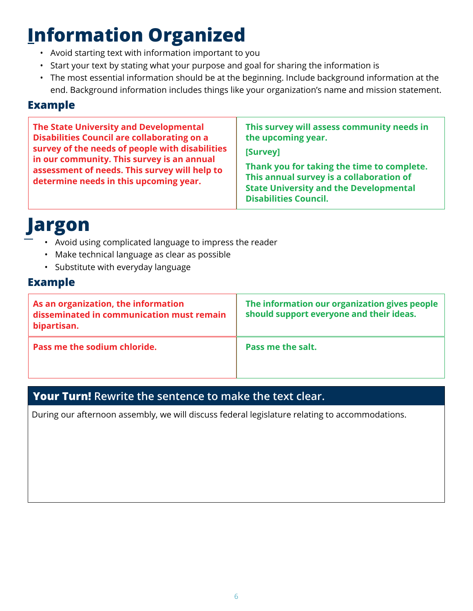# **Information Organized**

- Avoid starting text with information important to you
- Start your text by stating what your purpose and goal for sharing the information is
- The most essential information should be at the beginning. Include background information at the end. Background information includes things like your organization's name and mission statement.

#### **Example**

### **Jargon**

- Avoid using complicated language to impress the reader
- Make technical language as clear as possible
- Substitute with everyday language

#### **Example**

| As an organization, the information<br>disseminated in communication must remain<br>bipartisan. | The information our organization gives people<br>should support everyone and their ideas. |
|-------------------------------------------------------------------------------------------------|-------------------------------------------------------------------------------------------|
| Pass me the sodium chloride.                                                                    | Pass me the salt.                                                                         |

### **Your Turn! Rewrite the sentence to make the text clear.**

During our afternoon assembly, we will discuss federal legislature relating to accommodations.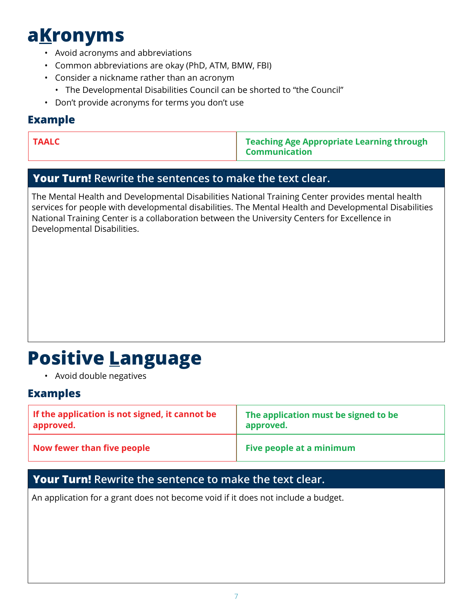### **aKronyms**

- Avoid acronyms and abbreviations
- Common abbreviations are okay (PhD, ATM, BMW, FBI)
- Consider a nickname rather than an acronym
	- The Developmental Disabilities Council can be shorted to "the Council"
- Don't provide acronyms for terms you don't use

#### **Example**

**TAALC TAALC TEALC TEALC TEALC TEALC TEALC TEALC TEALC TEALC TEALC TEALC TEALC TEALC TEALC TEALC TEALC TEALC TEALC TEALC TEALC TEALC TEALC TEALC TEALC TEALC TEALC TEALC Communication** 

#### **Your Turn! Rewrite the sentences to make the text clear.**

The Mental Health and Developmental Disabilities National Training Center provides mental health services for people with developmental disabilities. The Mental Health and Developmental Disabilities National Training Center is a collaboration between the University Centers for Excellence in Developmental Disabilities.

### **Positive Language**

• Avoid double negatives

#### **Examples**

| If the application is not signed, it cannot be | The application must be signed to be |
|------------------------------------------------|--------------------------------------|
| approved.                                      | approved.                            |
| Now fewer than five people                     | Five people at a minimum             |

### **Your Turn! Rewrite the sentence to make the text clear.**

An application for a grant does not become void if it does not include a budget.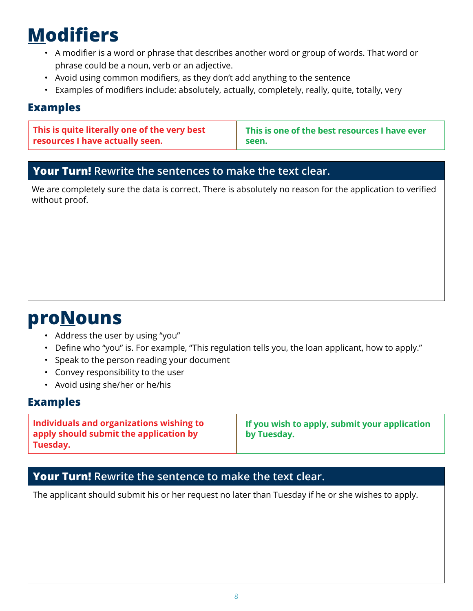# **Modifiers**

- A modifier is a word or phrase that describes another word or group of words. That word or phrase could be a noun, verb or an adjective.
- Avoid using common modifiers, as they don't add anything to the sentence
- Examples of modifiers include: absolutely, actually, completely, really, quite, totally, very

#### **Examples**

**This is quite literally one of the very best resources I have actually seen.** 

**This is one of the best resources I have ever seen.** 

#### **Your Turn! Rewrite the sentences to make the text clear.**

We are completely sure the data is correct. There is absolutely no reason for the application to verified without proof.

### **proNouns**

- Address the user by using "you"
- Define who "you" is. For example, "This regulation tells you, the loan applicant, how to apply."
- Speak to the person reading your document
- Convey responsibility to the user
- Avoid using she/her or he/his

#### **Examples**

| Individuals and organizations wishing to<br>apply should submit the application by<br>Tuesday. | $\vert$ If you wish to apply, submit your application<br>by Tuesday. |
|------------------------------------------------------------------------------------------------|----------------------------------------------------------------------|
|------------------------------------------------------------------------------------------------|----------------------------------------------------------------------|

#### **Your Turn! Rewrite the sentence to make the text clear.**

The applicant should submit his or her request no later than Tuesday if he or she wishes to apply.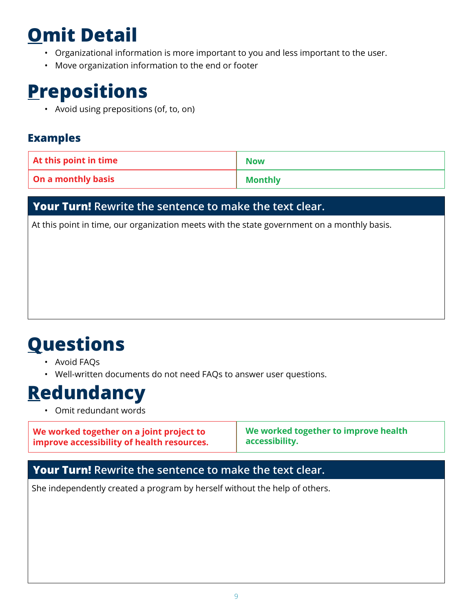# **Omit Detail**

- Organizational information is more important to you and less important to the user.
- Move organization information to the end or footer

### **Prepositions**

• Avoid using prepositions (of, to, on)

### **Examples**

| At this point in time     | <b>Now</b>     |
|---------------------------|----------------|
| <b>On a monthly basis</b> | <b>Monthly</b> |

#### **Your Turn! Rewrite the sentence to make the text clear.**

At this point in time, our organization meets with the state government on a monthly basis.

### **Questions**

- Avoid FAQs
- Well-written documents do not need FAQs to answer user questions.

### **Redundancy**

• Omit redundant words

| We worked together on a joint project to   | We worked together to improve health |
|--------------------------------------------|--------------------------------------|
| improve accessibility of health resources. | accessibility.                       |
|                                            |                                      |

#### **Your Turn! Rewrite the sentence to make the text clear.**

She independently created a program by herself without the help of others.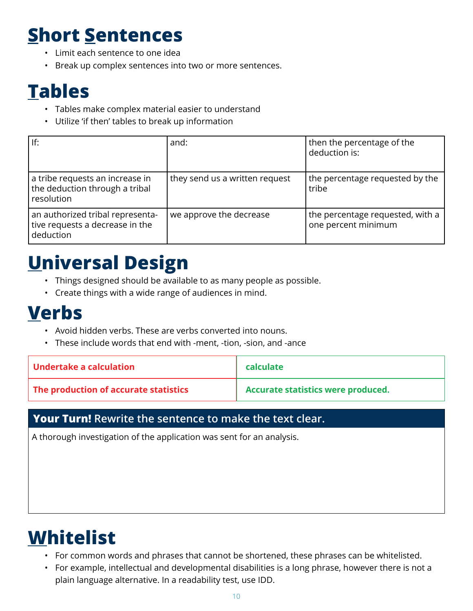### **Short Sentences**

- Limit each sentence to one idea
- Break up complex sentences into two or more sentences.

### **Tables**

- Tables make complex material easier to understand
- Utilize 'if then' tables to break up information

| If:                                                                              | and:                           | then the percentage of the<br>deduction is:             |
|----------------------------------------------------------------------------------|--------------------------------|---------------------------------------------------------|
| a tribe requests an increase in<br>the deduction through a tribal<br>resolution  | they send us a written request | the percentage requested by the<br>tribe                |
| an authorized tribal representa-<br>tive requests a decrease in the<br>deduction | we approve the decrease        | the percentage requested, with a<br>one percent minimum |

### **Universal Design**

- Things designed should be available to as many people as possible.
- Create things with a wide range of audiences in mind.

### **Verbs**

- Avoid hidden verbs. These are verbs converted into nouns.
- These include words that end with -ment, -tion, -sion, and -ance

| Undertake a calculation               | calculate                          |
|---------------------------------------|------------------------------------|
| The production of accurate statistics | Accurate statistics were produced. |

### **Your Turn! Rewrite the sentence to make the text clear.**

A thorough investigation of the application was sent for an analysis.

### **Whitelist**

- For common words and phrases that cannot be shortened, these phrases can be whitelisted.
- For example, intellectual and developmental disabilities is a long phrase, however there is not a plain language alternative. In a readability test, use IDD.